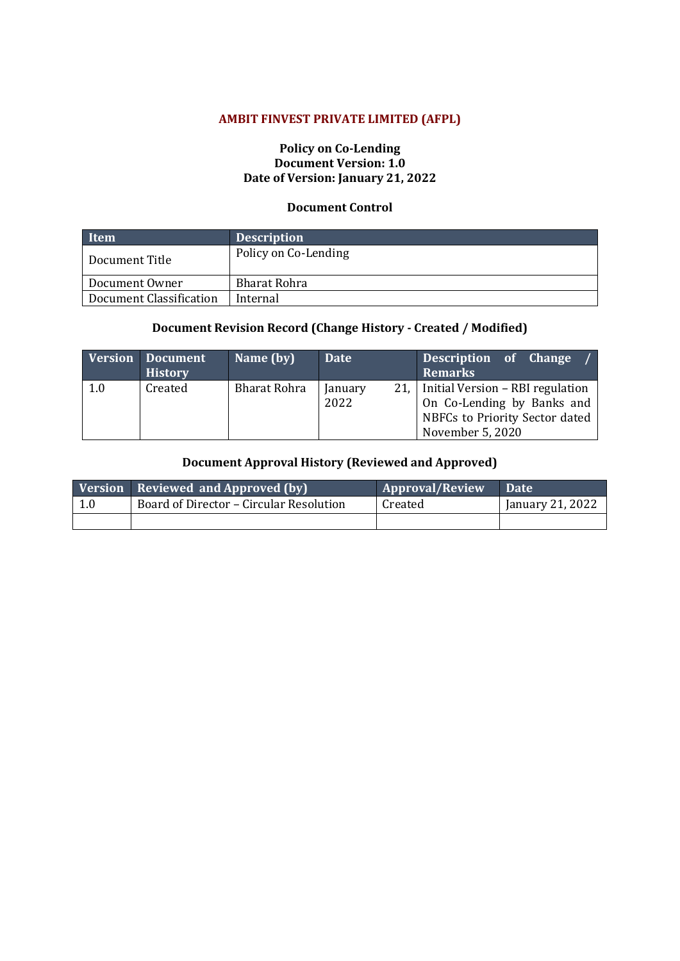## **AMBIT FINVEST PRIVATE LIMITED (AFPL)**

## **Policy on Co-Lending Document Version: 1.0 Date of Version: January 21, 2022**

## **Document Control**

| Item                    | <b>Description</b>   |
|-------------------------|----------------------|
| Document Title          | Policy on Co-Lending |
| Document Owner          | Bharat Rohra         |
| Document Classification | Internal             |

## **Document Revision Record (Change History - Created / Modified)**

|     | Version Document<br><b>History</b> | Name (by)           | Date                    | Description of Change<br><b>Remarks</b>                                                                              |
|-----|------------------------------------|---------------------|-------------------------|----------------------------------------------------------------------------------------------------------------------|
| 1.0 | Created                            | <b>Bharat Rohra</b> | 21.1<br>January<br>2022 | Initial Version - RBI regulation<br>On Co-Lending by Banks and<br>NBFCs to Priority Sector dated<br>November 5, 2020 |

## **Document Approval History (Reviewed and Approved)**

|     | Version Reviewed and Approved (by)      | <b>Approval/Review</b> | <b>Date</b>      |
|-----|-----------------------------------------|------------------------|------------------|
| 1.0 | Board of Director - Circular Resolution | Created                | January 21, 2022 |
|     |                                         |                        |                  |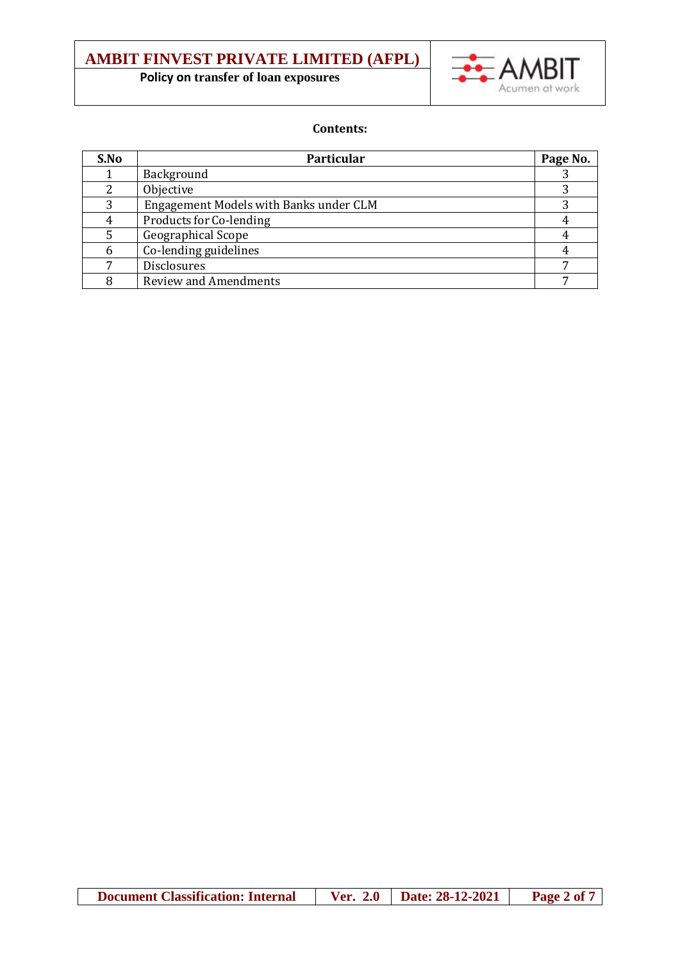# **AMBIT FINVEST PRIVATE LIMITED (AFPL)**

 **Policy on transfer of loan exposures**



## **Contents:**

| S.No | Particular                             | Page No. |
|------|----------------------------------------|----------|
|      | Background                             |          |
|      | Objective                              |          |
|      | Engagement Models with Banks under CLM |          |
|      | Products for Co-lending                |          |
|      | Geographical Scope                     |          |
|      | Co-lending guidelines                  |          |
|      | Disclosures                            |          |
|      | <b>Review and Amendments</b>           |          |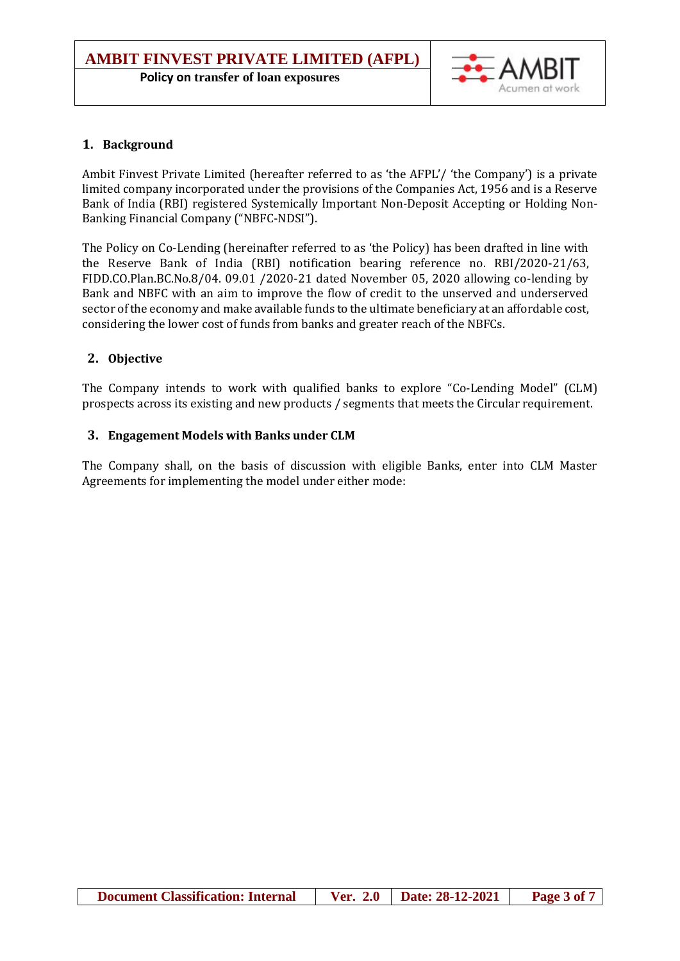

## **1. Background**

Ambit Finvest Private Limited (hereafter referred to as 'the AFPL'/ 'the Company') is a private limited company incorporated under the provisions of the Companies Act, 1956 and is a Reserve Bank of India (RBI) registered Systemically Important Non-Deposit Accepting or Holding Non-Banking Financial Company ("NBFC-NDSI").

The Policy on Co-Lending (hereinafter referred to as 'the Policy) has been drafted in line with the Reserve Bank of India (RBI) notification bearing reference no. RBI/2020-21/63, FIDD.CO.Plan.BC.No.8/04. 09.01 /2020-21 dated November 05, 2020 allowing co-lending by Bank and NBFC with an aim to improve the flow of credit to the unserved and underserved sector of the economy and make available funds to the ultimate beneficiary at an affordable cost, considering the lower cost of funds from banks and greater reach of the NBFCs.

## **2. Objective**

The Company intends to work with qualified banks to explore "Co-Lending Model" (CLM) prospects across its existing and new products / segments that meets the Circular requirement.

## **3. Engagement Models with Banks under CLM**

The Company shall, on the basis of discussion with eligible Banks, enter into CLM Master Agreements for implementing the model under either mode: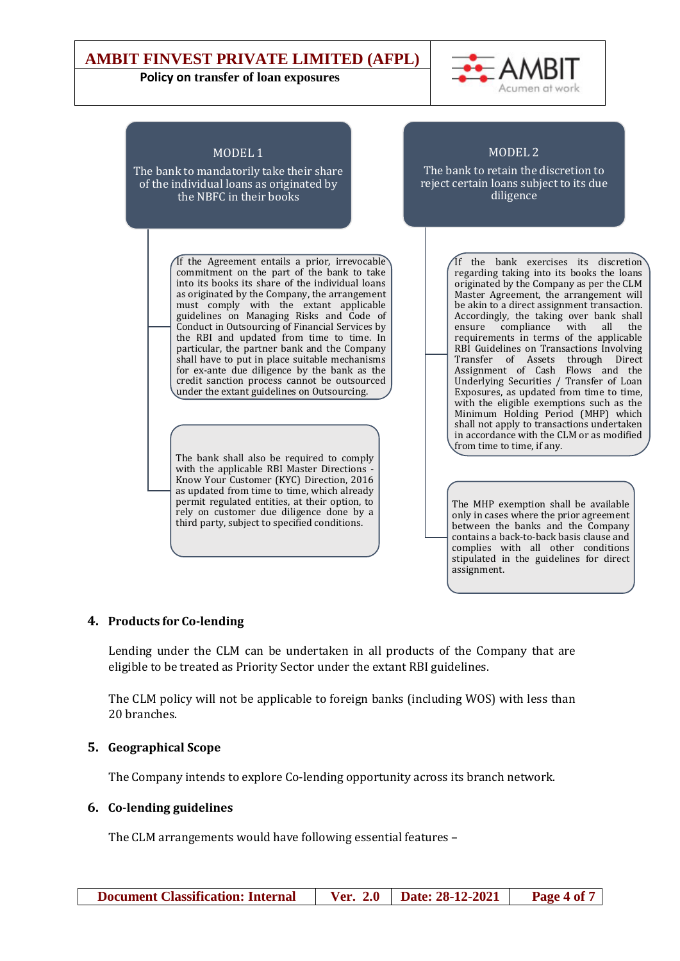## **AMBIT FINVEST PRIVATE LIMITED (AFPL)**

#### **Policy on transfer of loan exposures**



stipulated in the guidelines for direct

assignment.



## **4. Products for Co-lending**

Lending under the CLM can be undertaken in all products of the Company that are eligible to be treated as Priority Sector under the extant RBI guidelines.

The CLM policy will not be applicable to foreign banks (including WOS) with less than 20 branches.

## **5. Geographical Scope**

The Company intends to explore Co-lending opportunity across its branch network.

## **6. Co-lending guidelines**

The CLM arrangements would have following essential features –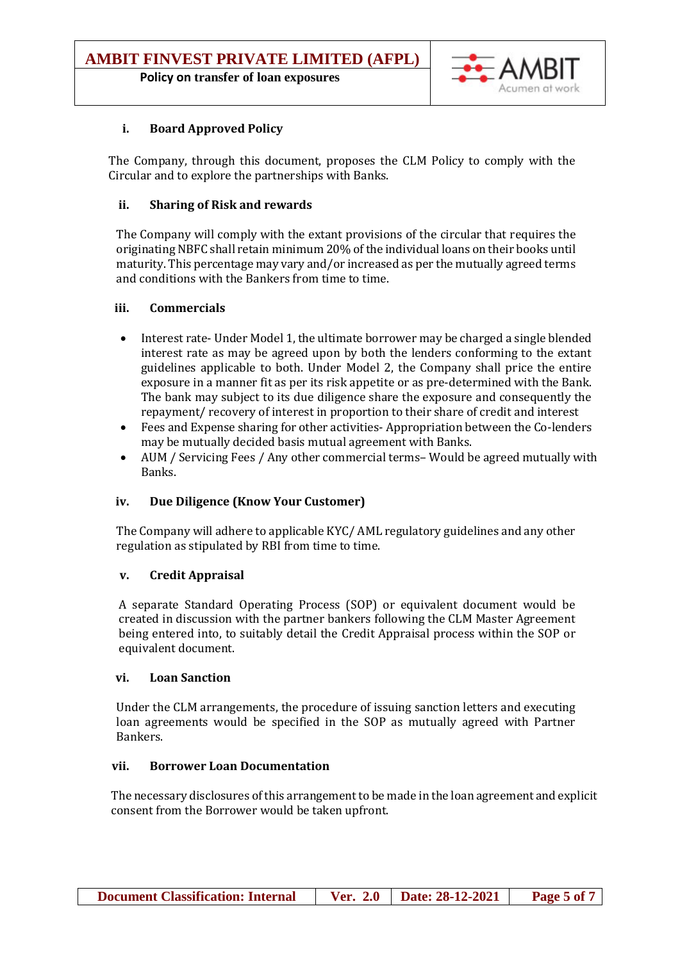## **Policy on transfer of loan exposures**



## **i. Board Approved Policy**

The Company, through this document, proposes the CLM Policy to comply with the Circular and to explore the partnerships with Banks.

## **ii. Sharing of Risk and rewards**

The Company will comply with the extant provisions of the circular that requires the originating NBFC shall retain minimum 20% of the individual loans on their books until maturity. This percentage may vary and/or increased as per the mutually agreed terms and conditions with the Bankers from time to time.

## **iii. Commercials**

- Interest rate- Under Model 1, the ultimate borrower may be charged a single blended interest rate as may be agreed upon by both the lenders conforming to the extant guidelines applicable to both. Under Model 2, the Company shall price the entire exposure in a manner fit as per its risk appetite or as pre-determined with the Bank. The bank may subject to its due diligence share the exposure and consequently the repayment/ recovery of interest in proportion to their share of credit and interest
- Fees and Expense sharing for other activities- Appropriation between the Co-lenders may be mutually decided basis mutual agreement with Banks.
- AUM / Servicing Fees / Any other commercial terms– Would be agreed mutually with Banks.

#### **iv. Due Diligence (Know Your Customer)**

The Company will adhere to applicable KYC/ AML regulatory guidelines and any other regulation as stipulated by RBI from time to time.

#### **v. Credit Appraisal**

A separate Standard Operating Process (SOP) or equivalent document would be created in discussion with the partner bankers following the CLM Master Agreement being entered into, to suitably detail the Credit Appraisal process within the SOP or equivalent document.

#### **vi. Loan Sanction**

Under the CLM arrangements, the procedure of issuing sanction letters and executing loan agreements would be specified in the SOP as mutually agreed with Partner Bankers.

#### **vii. Borrower Loan Documentation**

The necessary disclosures of this arrangementto be made in the loan agreement and explicit consent from the Borrower would be taken upfront.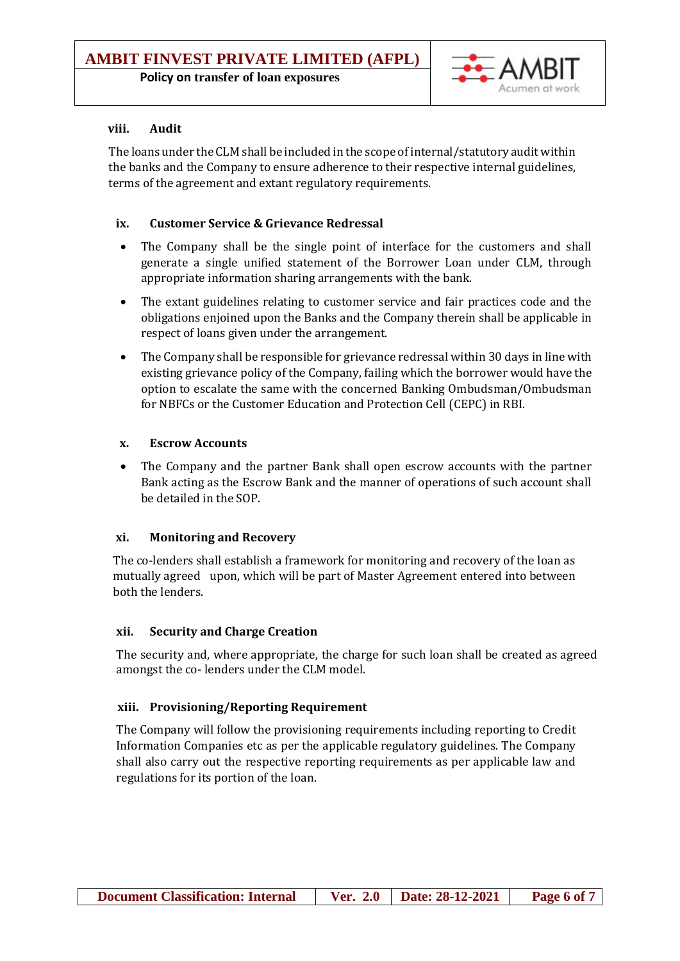## **Policy on transfer of loan exposures**



## **viii. Audit**

The loans under the CLM shall be included in the scope of internal/statutory audit within the banks and the Company to ensure adherence to their respective internal guidelines, terms of the agreement and extant regulatory requirements.

## **ix. Customer Service & Grievance Redressal**

- The Company shall be the single point of interface for the customers and shall generate a single unified statement of the Borrower Loan under CLM, through appropriate information sharing arrangements with the bank.
- The extant guidelines relating to customer service and fair practices code and the obligations enjoined upon the Banks and the Company therein shall be applicable in respect of loans given under the arrangement.
- The Company shall be responsible for grievance redressal within 30 days in line with existing grievance policy of the Company, failing which the borrower would have the option to escalate the same with the concerned Banking Ombudsman/Ombudsman for NBFCs or the Customer Education and Protection Cell (CEPC) in RBI.

## **x. Escrow Accounts**

 The Company and the partner Bank shall open escrow accounts with the partner Bank acting as the Escrow Bank and the manner of operations of such account shall be detailed in the SOP.

## **xi. Monitoring and Recovery**

The co-lenders shall establish a framework for monitoring and recovery of the loan as mutually agreed upon, which will be part of Master Agreement entered into between both the lenders.

## **xii. Security and Charge Creation**

The security and, where appropriate, the charge for such loan shall be created as agreed amongst the co- lenders under the CLM model.

## **xiii. Provisioning/Reporting Requirement**

The Company will follow the provisioning requirements including reporting to Credit Information Companies etc as per the applicable regulatory guidelines. The Company shall also carry out the respective reporting requirements as per applicable law and regulations for its portion of the loan.